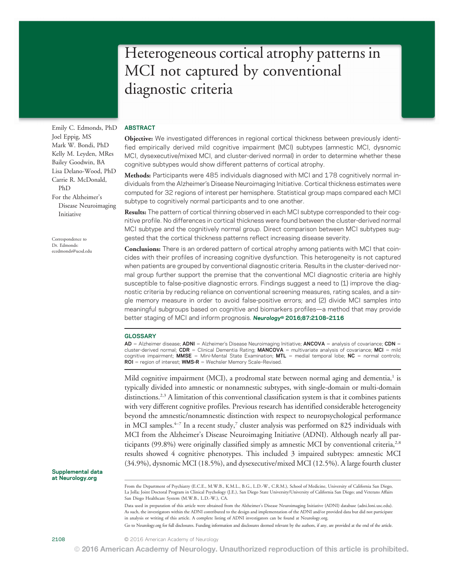# Heterogeneous cortical atrophy patterns in MCI not captured by conventional diagnostic criteria

Emily C. Edmonds, PhD Joel Eppig, MS Mark W. Bondi, PhD Kelly M. Leyden, MRes Bailey Goodwin, BA Lisa Delano-Wood, PhD Carrie R. McDonald, PhD For the Alzheimer's Disease Neuroimaging Initiative

Correspondence to Dr. Edmonds: [ecedmonds@ucsd.edu](mailto:ecedmonds@ucsd.edu)

# ABSTRACT

Objective: We investigated differences in regional cortical thickness between previously identified empirically derived mild cognitive impairment (MCI) subtypes (amnestic MCI, dysnomic MCI, dysexecutive/mixed MCI, and cluster-derived normal) in order to determine whether these cognitive subtypes would show different patterns of cortical atrophy.

Methods: Participants were 485 individuals diagnosed with MCI and 178 cognitively normal individuals from the Alzheimer's Disease Neuroimaging Initiative. Cortical thickness estimates were computed for 32 regions of interest per hemisphere. Statistical group maps compared each MCI subtype to cognitively normal participants and to one another.

Results: The pattern of cortical thinning observed in each MCI subtype corresponded to their cognitive profile. No differences in cortical thickness were found between the cluster-derived normal MCI subtype and the cognitively normal group. Direct comparison between MCI subtypes suggested that the cortical thickness patterns reflect increasing disease severity.

Conclusions: There is an ordered pattern of cortical atrophy among patients with MCI that coincides with their profiles of increasing cognitive dysfunction. This heterogeneity is not captured when patients are grouped by conventional diagnostic criteria. Results in the cluster-derived normal group further support the premise that the conventional MCI diagnostic criteria are highly susceptible to false-positive diagnostic errors. Findings suggest a need to (1) improve the diagnostic criteria by reducing reliance on conventional screening measures, rating scales, and a single memory measure in order to avoid false-positive errors; and (2) divide MCI samples into meaningful subgroups based on cognitive and biomarkers profiles—a method that may provide better staging of MCI and inform prognosis. Neurology® 2016;87:2108-2116

# **GLOSSARY**

AD = Alzheimer disease; ADNI = Alzheimer's Disease Neuroimaging Initiative; ANCOVA = analysis of covariance; CDN = cluster-derived normal; CDR = Clinical Dementia Rating; MANCOVA = multivariate analysis of covariance; MCI = mild cognitive impairment; MMSE = Mini-Mental State Examination; MTL = medial temporal lobe; NC = normal controls;  $ROI = region of interest; WMS-R = Wechsler Memory Scale-Revised.$ 

Mild cognitive impairment (MCI), a prodromal state between normal aging and dementia, $<sup>1</sup>$  is</sup> typically divided into amnestic or nonamnestic subtypes, with single-domain or multi-domain distinctions.<sup>2,3</sup> A limitation of this conventional classification system is that it combines patients with very different cognitive profiles. Previous research has identified considerable heterogeneity beyond the amnestic/nonamnestic distinction with respect to neuropsychological performance in MCI samples.<sup>4-7</sup> In a recent study,<sup>7</sup> cluster analysis was performed on 825 individuals with MCI from the Alzheimer's Disease Neuroimaging Initiative (ADNI). Although nearly all participants  $(99.8\%)$  were originally classified simply as amnestic MCI by conventional criteria,<sup>2,8</sup> results showed 4 cognitive phenotypes. This included 3 impaired subtypes: amnestic MCI (34.9%), dysnomic MCI (18.5%), and dysexecutive/mixed MCI (12.5%). A large fourth cluster

Supplemental data at [Neurology.org](http://neurology.org/lookup/doi/10.1212/WNL.0000000000003326)

Data used in preparation of this article were obtained from the Alzheimer's Disease Neuroimaging Initiative (ADNI) database [\(adni.loni.usc.edu\)](http://adni.loni.usc.edu). As such, the investigators within the ADNI contributed to the design and implementation of the ADNI and/or provided data but did not participate in analysis or writing of this article. A complete listing of ADNI investigators can be found at [Neurology.org](http://neurology.org/lookup/doi/10.1212/WNL.0000000000003326).

Go to [Neurology.org](http://neurology.org/lookup/doi/10.1212/WNL.0000000000003326) for full disclosures. Funding information and disclosures deemed relevant by the authors, if any, are provided at the end of the article.

From the Department of Psychiatry (E.C.E., M.W.B., K.M.L., B.G., L.D.-W., C.R.M.), School of Medicine, University of California San Diego, La Jolla; Joint Doctoral Program in Clinical Psychology (J.E.), San Diego State University/University of California San Diego; and Veterans Affairs San Diego Healthcare System (M.W.B., L.D.-W.), CA.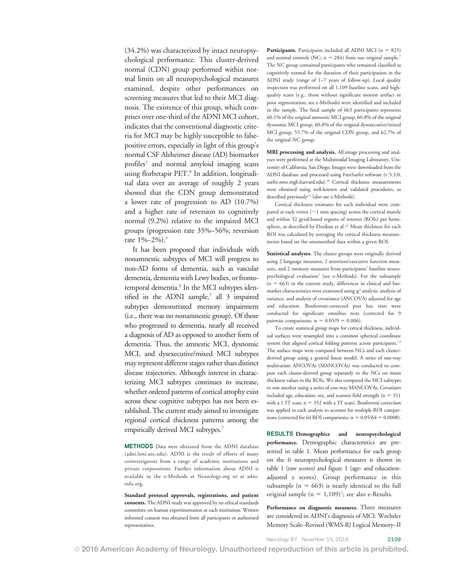(34.2%) was characterized by intact neuropsychological performance. This cluster-derived normal (CDN) group performed within normal limits on all neuropsychological measures examined, despite other performances on screening measures that led to their MCI diagnosis. The existence of this group, which comprises over one-third of the ADNI MCI cohort, indicates that the conventional diagnostic criteria for MCI may be highly susceptible to falsepositive errors, especially in light of this group's normal CSF Alzheimer disease (AD) biomarker profiles<sup>7</sup> and normal amyloid imaging scans using florbetapir PET.9 In addition, longitudinal data over an average of roughly 2 years showed that the CDN group demonstrated a lower rate of progression to AD (10.7%) and a higher rate of reversion to cognitively normal (9.2%) relative to the impaired MCI groups (progression rate 35%–56%; reversion rate 1%–2%).7

It has been proposed that individuals with nonamnestic subtypes of MCI will progress to non-AD forms of dementia, such as vascular dementia, dementia with Lewy bodies, or frontotemporal dementia.<sup>2</sup> In the MCI subtypes identified in the ADNI sample,<sup>7</sup> all 3 impaired subtypes demonstrated memory impairment (i.e., there was no nonamnestic group). Of those who progressed to dementia, nearly all received a diagnosis of AD as opposed to another form of dementia. Thus, the amnestic MCI, dysnomic MCI, and dysexecutive/mixed MCI subtypes may represent different stages rather than distinct disease trajectories. Although interest in characterizing MCI subtypes continues to increase, whether ordered patterns of cortical atrophy exist across these cognitive subtypes has not been established. The current study aimed to investigate regional cortical thickness patterns among the empirically derived MCI subtypes.7

METHODS Data were obtained from the ADNI database ([adni.loni.usc.edu](http://adni.loni.usc.edu)). ADNI is the result of efforts of many coinvestigators from a range of academic institutions and private corporations. Further information about ADNI is available in the e-Methods at [Neurology.org](http://neurology.org/lookup/doi/10.1212/WNL.0000000000003326) or at [adni](http://www.adni-info.org)[info.org](http://www.adni-info.org).

Standard protocol approvals, registrations, and patient consents. The ADNI study was approved by an ethical standards committee on human experimentation at each institution. Written informed consent was obtained from all participants or authorized representatives.

**Participants.** Participants included all ADNI MCI  $(n = 825)$ and normal controls (NC;  $n = 284$ ) from our original sample.<sup>7</sup> The NC group contained participants who remained classified as cognitively normal for the duration of their participation in the ADNI study (range of 1–7 years of follow-up). Local quality inspection was performed on all 1,109 baseline scans, and highquality scans (e.g., those without significant motion artifact or poor segmentation; see e-Methods) were identified and included in the sample. The final sample of 663 participants represents 60.1% of the original amnestic MCI group, 60.8% of the original dysnomic MCI group, 60.8% of the original dysexecutive/mixed MCI group, 55.7% of the original CDN group, and 62.7% of the original NC group.

MRI processing and analysis. All image processing and analyses were performed at the Multimodal Imaging Laboratory, University of California, San Diego. Images were downloaded from the ADNI database and processed using FreeSurfer software (v 5.3.0; [surfer.nmr.mgh.harvard.edu\)](http://surfer.nmr.mgh.harvard.edu).<sup>10</sup> Cortical thickness measurements were obtained using well-known and validated procedures, as described previously<sup>11</sup> (also see e-Methods).

Cortical thickness estimates for each individual were computed at each vertex  $($   $\sim$  1 mm spacing) across the cortical mantle and within 32 gyral-based regions of interest (ROIs) per hemisphere, as described by Desikan et al.<sup>12</sup> Mean thickness for each ROI was calculated by averaging the cortical thickness measurements based on the unsmoothed data within a given ROI.

Statistical analyses. The cluster groups were originally derived using 2 language measures, 2 attention/executive function measures, and 2 memory measures from participants' baseline neuropsychological evaluation7 (see e-Methods). For the subsample  $(n = 663)$  in the current study, differences in clinical and biomarker characteristics were examined using  $\chi^2$  analysis, analysis of variance, and analysis of covariance (ANCOVA) adjusted for age and education. Bonferroni-corrected post hoc tests were conducted for significant omnibus tests (corrected for 9 pairwise comparisons;  $\alpha = 0.05/9 = 0.006$ .

To create statistical group maps for cortical thickness, individual surfaces were resampled into a common spherical coordinate system that aligned cortical folding patterns across participants.<sup>13</sup> The surface maps were compared between NCs and each clusterderived group using a general linear model. A series of one-way multivariate ANCOVAs (MANCOVAs) was conducted to compare each cluster-derived group separately to the NCs on mean thickness values in the ROIs. We also compared the MCI subtypes to one another using a series of one-way MANCOVAs. Covariates included age, education, sex, and scanner field strength ( $n = 311$ ) with a 1.5T scan;  $n = 352$  with a 3T scan). Bonferroni correction was applied to each analysis to account for multiple ROI comparisons (corrected for 64 ROI comparisons;  $\alpha = 0.05/64 = 0.0008$ ).

RESULTS Demographics and neuropsychological performance. Demographic characteristics are presented in table 1. Mean performance for each group on the 6 neuropsychological measures is shown in table 1 (raw scores) and figure 1 (age- and educationadjusted z scores). Group performance in this subsample ( $n = 663$ ) is nearly identical to the full original sample ( $n = 1,109$ )<sup>7</sup>; see also e-Results.

Performance on diagnostic measures. Three measures are considered in ADNI's diagnosis of MCI: Wechsler Memory Scale–Revised (WMS-R) Logical Memory–II

Neurology 87 November 15, 2016 2109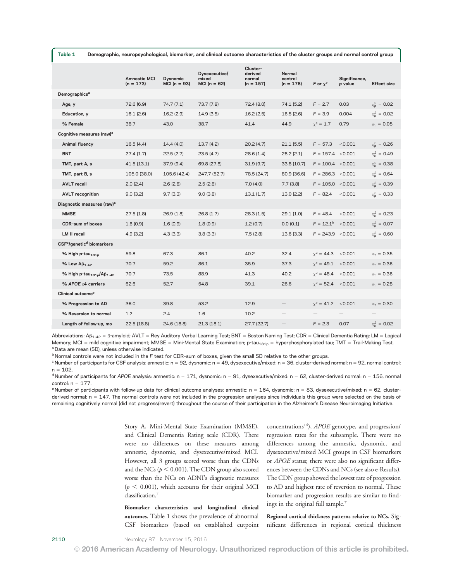| Table 1<br>Demographic, neuropsychological, biomarker, and clinical outcome characteristics of the cluster groups and normal control group |                                    |                                  |                                            |                                              |                                |                       |                          |                         |
|--------------------------------------------------------------------------------------------------------------------------------------------|------------------------------------|----------------------------------|--------------------------------------------|----------------------------------------------|--------------------------------|-----------------------|--------------------------|-------------------------|
|                                                                                                                                            | <b>Amnestic MCI</b><br>$(n = 173)$ | <b>Dysnomic</b><br>$MCI(n = 93)$ | Dysexecutive/<br>mixed<br>MCI ( $n = 62$ ) | Cluster-<br>derived<br>normal<br>$(n = 157)$ | Normal<br>control<br>(n = 178) | F or $x^2$            | Significance,<br>p value | <b>Effect size</b>      |
| Demographics <sup>a</sup>                                                                                                                  |                                    |                                  |                                            |                                              |                                |                       |                          |                         |
| Age, y                                                                                                                                     | 72.6 (6.9)                         | 74.7(7.1)                        | 73.7 (7.8)                                 | 72.4 (8.0)                                   | 74.1 (5.2)                     | $F = 2.7$             | 0.03                     | $\eta_{\rm n}^2 = 0.02$ |
| Education, y                                                                                                                               | 16.1(2.6)                          | 16.2(2.9)                        | 14.9(3.5)                                  | 16.2(2.5)                                    | 16.5(2.6)                      | $F = 3.9$             | 0.004                    | $\eta_{\rm n}^2 = 0.02$ |
| % Female                                                                                                                                   | 38.7                               | 43.0                             | 38.7                                       | 41.4                                         | 44.9                           | $x^2 = 1.7$           | 0.79                     | $\varphi_c = 0.05$      |
| Cognitive measures (raw) <sup>a</sup>                                                                                                      |                                    |                                  |                                            |                                              |                                |                       |                          |                         |
| Animal fluency                                                                                                                             | 16.5(4.4)                          | 14.4(4.0)                        | 13.7(4.2)                                  | 20.2(4.7)                                    | 21.1(5.5)                      | $F = 57.3$            | < 0.001                  | $\eta_{\rm n}^2 = 0.26$ |
| <b>BNT</b>                                                                                                                                 | 27.4(1.7)                          | 22.5(2.7)                        | 23.5(4.7)                                  | 28.6(1.4)                                    | 28.2(2.1)                      | $F = 157.4 \le 0.001$ |                          | $\eta_{\rm n}^2 = 0.49$ |
| TMT, part A, s                                                                                                                             | 41.5(13.1)                         | 37.9(9.4)                        | 69.8 (27.8)                                | 31.9(9.7)                                    | 33.8 (10.7)                    | $F = 100.4 \le 0.001$ |                          | $\eta_{\rm n}^2 = 0.38$ |
| TMT, part B, s                                                                                                                             | 105.0 (38.0)                       | 105.6 (42.4)                     | 247.7 (52.7)                               | 78.5 (24.7)                                  | 80.9 (36.6)                    | $F = 286.3 \le 0.001$ |                          | $\eta_{\rm n}^2 = 0.64$ |
| <b>AVLT</b> recall                                                                                                                         | 2.0(2.4)                           | 2.6(2.8)                         | 2.5(2.8)                                   | 7.0(4.0)                                     | 7.7(3.8)                       | $F = 105.0 \le 0.001$ |                          | $\eta_{\rm n}^2 = 0.39$ |
| <b>AVLT</b> recognition                                                                                                                    | 9.0(3.2)                           | 9.7(3.3)                         | 9.0(3.8)                                   | 13.1(1.7)                                    | 13.0(2.2)                      | $F = 82.4$            | < 0.001                  | $\eta_{\rm n}^2 = 0.33$ |
| Diagnostic measures (raw) <sup>a</sup>                                                                                                     |                                    |                                  |                                            |                                              |                                |                       |                          |                         |
| <b>MMSE</b>                                                                                                                                | 27.5(1.8)                          | 26.9(1.8)                        | 26.8(1.7)                                  | 28.3(1.5)                                    | 29.1(1.0)                      | $F = 48.4$            | < 0.001                  | $\eta_{\rm n}^2 = 0.23$ |
| <b>CDR-sum of boxes</b>                                                                                                                    | 1.6(0.9)                           | 1.6(0.9)                         | 1.8(0.9)                                   | 1.2(0.7)                                     | 0.0(0.1)                       | $F = 12.1^b$          | < 0.001                  | $\eta_{\rm p}^2 = 0.07$ |
| <b>LM II recall</b>                                                                                                                        | 4.9(3.2)                           | 4.3(3.3)                         | 3.8(3.3)                                   | 7.5(2.8)                                     | 13.6 (3.3)                     | $F = 243.9$ < 0.001   |                          | $\eta_{\rm n}^2 = 0.60$ |
| CSF <sup>c</sup> /genetic <sup>d</sup> biomarkers                                                                                          |                                    |                                  |                                            |                                              |                                |                       |                          |                         |
| % High p-tau $_{181n}$                                                                                                                     | 59.8                               | 67.3                             | 86.1                                       | 40.2                                         | 32.4                           | $x^2 = 44.3$ < 0.001  |                          | $\varphi_c = 0.35$      |
| % Low $AB1-42$                                                                                                                             | 70.7                               | 59.2                             | 86.1                                       | 35.9                                         | 37.3                           | $x^2 = 49.1$ < 0.001  |                          | $\varphi_c = 0.36$      |
| % High p-tau $_{181p}$ /A $\beta_{1-42}$                                                                                                   | 70.7                               | 73.5                             | 88.9                                       | 41.3                                         | 40.2                           | $x^2 = 48.4$ <0.001   |                          | $\varphi_c = 0.36$      |
| % APOE ε4 carriers                                                                                                                         | 62.6                               | 52.7                             | 54.8                                       | 39.1                                         | 26.6                           | $x^2 = 52.4$ < 0.001  |                          | $\varphi_c = 0.28$      |
| Clinical outcome <sup>e</sup>                                                                                                              |                                    |                                  |                                            |                                              |                                |                       |                          |                         |
| % Progression to AD                                                                                                                        | 36.0                               | 39.8                             | 53.2                                       | 12.9                                         |                                | $x^2 = 41.2$          | < 0.001                  | $\varphi_c = 0.30$      |
| % Reversion to normal                                                                                                                      | 1.2                                | 2.4                              | 1.6                                        | 10.2                                         |                                |                       |                          |                         |
| Length of follow-up, mo                                                                                                                    | 22.5(18.8)                         | 24.6 (18.8)                      | 21.3 (18.1)                                | 27.7(22.7)                                   | $\qquad \qquad -$              | $F = 2.3$             | 0.07                     | $\eta_{\rm n}^2 = 0.02$ |

Abbreviations:  $A\beta_{1\cdot 42} = \beta$ -amyloid; AVLT = Rey Auditory Verbal Learning Test; BNT = Boston Naming Test; CDR = Clinical Dementia Rating; LM = Logical Memory; MCI = mild cognitive impairment; MMSE = Mini-Mental State Examination; p-tau<sub>181p</sub> = hyperphosphorylated tau; TMT = Trail-Making Test. a Data are mean (SD), unless otherwise indicated.

**b Normal controls were not included in the F test for CDR-sum of boxes, given the small SD relative to the other groups.** 

 $c$  Number of participants for CSF analysis: amnestic: n = 92, dysnomic: n = 49, dysexecutive/mixed: n = 36, cluster-derived normal: n = 92, normal control:  $n = 102$ .

<sup>d</sup> Number of participants for APOE analysis: amnestic: n = 171, dysnomic: n = 91, dysexecutive/mixed: n = 62, cluster-derived normal: n = 156, normal control:  $n = 177$ .

<sup>e</sup> Number of participants with follow-up data for clinical outcome analyses: amnestic: n = 164, dysnomic: n = 83, dysexecutive/mixed: n = 62, clusterderived normal: n = 147. The normal controls were not included in the progression analyses since individuals this group were selected on the basis of remaining cognitively normal (did not progress/revert) throughout the course of their participation in the Alzheimer's Disease Neuroimaging Initiative.

> Story A, Mini-Mental State Examination (MMSE), and Clinical Dementia Rating scale (CDR). There were no differences on these measures among amnestic, dysnomic, and dysexecutive/mixed MCI. However, all 3 groups scored worse than the CDNs and the NCs ( $p < 0.001$ ). The CDN group also scored worse than the NCs on ADNI's diagnostic measures  $(p < 0.001)$ , which accounts for their original MCI classification.7

Biomarker characteristics and longitudinal clinical outcomes. Table 1 shows the prevalence of abnormal CSF biomarkers (based on established cutpoint concentrations<sup>14</sup>),  $APOE$  genotype, and progression/ regression rates for the subsample. There were no differences among the amnestic, dysnomic, and dysexecutive/mixed MCI groups in CSF biomarkers or APOE status; there were also no significant differences between the CDNs and NCs (see also e-Results). The CDN group showed the lowest rate of progression to AD and highest rate of reversion to normal. These biomarker and progression results are similar to findings in the original full sample.7

Regional cortical thickness patterns relative to NCs. Significant differences in regional cortical thickness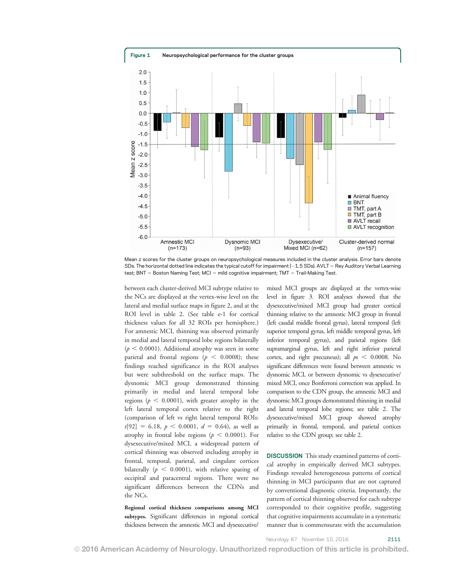

Mean z scores for the cluster groups on neuropsychological measures included in the cluster analysis. Error bars denote SDs. The horizontal dotted line indicates the typical cutoff for impairment (-1.5 SDs). AVLT = Rey Auditory Verbal Learning test; BNT = Boston Naming Test; MCI = mild cognitive impairment; TMT = Trail-Making Test.

between each cluster-derived MCI subtype relative to the NCs are displayed at the vertex-wise level on the lateral and medial surface maps in figure 2, and at the ROI level in table 2. (See table e-1 for cortical thickness values for all 32 ROIs per hemisphere.) For amnestic MCI, thinning was observed primarily in medial and lateral temporal lobe regions bilaterally  $(p < 0.0001)$ . Additional atrophy was seen in some parietal and frontal regions ( $p < 0.0008$ ); these findings reached significance in the ROI analyses but were subthreshold on the surface maps. The dysnomic MCI group demonstrated thinning primarily in medial and lateral temporal lobe regions ( $p < 0.0001$ ), with greater atrophy in the left lateral temporal cortex relative to the right (comparison of left vs right lateral temporal ROIs:  $t[92] = 6.18, p < 0.0001, d = 0.64$ , as well as atrophy in frontal lobe regions ( $p < 0.0001$ ). For dysexecutive/mixed MCI, a widespread pattern of cortical thinning was observed including atrophy in frontal, temporal, parietal, and cingulate cortices bilaterally ( $p < 0.0001$ ), with relative sparing of occipital and paracentral regions. There were no significant differences between the CDNs and the NCs.

Regional cortical thickness comparisons among MCI subtypes. Significant differences in regional cortical thickness between the amnestic MCI and dysexecutive/

mixed MCI groups are displayed at the vertex-wise level in figure 3. ROI analyses showed that the dysexecutive/mixed MCI group had greater cortical thinning relative to the amnestic MCI group in frontal (left caudal middle frontal gyrus), lateral temporal (left superior temporal gyrus, left middle temporal gyrus, left inferior temporal gyrus), and parietal regions (left supramarginal gyrus, left and right inferior parietal cortex, and right precuneus); all  $ps < 0.0008$ . No significant differences were found between amnestic vs dysnomic MCI, or between dysnomic vs dysexecutive/ mixed MCI, once Bonferroni correction was applied. In comparison to the CDN group, the amnestic MCI and dysnomic MCI groups demonstrated thinning in medial and lateral temporal lobe regions; see table 2. The dysexecutive/mixed MCI group showed atrophy primarily in frontal, temporal, and parietal cortices relative to the CDN group; see table 2.

DISCUSSION This study examined patterns of cortical atrophy in empirically derived MCI subtypes. Findings revealed heterogeneous patterns of cortical thinning in MCI participants that are not captured by conventional diagnostic criteria. Importantly, the pattern of cortical thinning observed for each subtype corresponded to their cognitive profile, suggesting that cognitive impairments accumulate in a systematic manner that is commensurate with the accumulation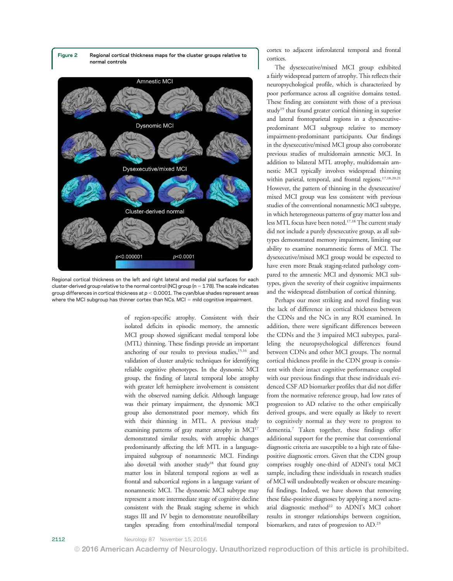



Regional cortical thickness on the left and right lateral and medial pial surfaces for each cluster-derived group relative to the normal control (NC) group ( $n = 178$ ). The scale indicates group differences in cortical thickness at  $p < 0.0001$ . The cyan/blue shades represent areas where the MCI subgroup has thinner cortex than NCs.  $MCI = mId$  cognitive impairment.

of region-specific atrophy. Consistent with their isolated deficits in episodic memory, the amnestic MCI group showed significant medial temporal lobe (MTL) thinning. These findings provide an important anchoring of our results to previous studies,<sup>15,16</sup> and validation of cluster analytic techniques for identifying reliable cognitive phenotypes. In the dysnomic MCI group, the finding of lateral temporal lobe atrophy with greater left hemisphere involvement is consistent with the observed naming deficit. Although language was their primary impairment, the dysnomic MCI group also demonstrated poor memory, which fits with their thinning in MTL. A previous study examining patterns of gray matter atrophy in MCI<sup>17</sup> demonstrated similar results, with atrophic changes predominantly affecting the left MTL in a languageimpaired subgroup of nonamnestic MCI. Findings also dovetail with another study<sup>18</sup> that found gray matter loss in bilateral temporal regions as well as frontal and subcortical regions in a language variant of nonamnestic MCI. The dysnomic MCI subtype may represent a more intermediate stage of cognitive decline consistent with the Braak staging scheme in which stages III and IV begin to demonstrate neurofibrillary tangles spreading from entorhinal/medial temporal

cortex to adjacent inferolateral temporal and frontal cortices.

The dysexecutive/mixed MCI group exhibited a fairly widespread pattern of atrophy. This reflects their neuropsychological profile, which is characterized by poor performance across all cognitive domains tested. These finding are consistent with those of a previous study<sup>19</sup> that found greater cortical thinning in superior and lateral frontoparietal regions in a dysexecutivepredominant MCI subgroup relative to memory impairment-predominant participants. Our findings in the dysexecutive/mixed MCI group also corroborate previous studies of multidomain amnestic MCI. In addition to bilateral MTL atrophy, multidomain amnestic MCI typically involves widespread thinning within parietal, temporal, and frontal regions.<sup>17,18,20,21</sup> However, the pattern of thinning in the dysexecutive/ mixed MCI group was less consistent with previous studies of the conventional nonamnestic MCI subtype, in which heterogeneous patterns of gray matter loss and less MTL focus have been noted.17,18 The current study did not include a purely dysexecutive group, as all subtypes demonstrated memory impairment, limiting our ability to examine nonamnestic forms of MCI. The dysexecutive/mixed MCI group would be expected to have even more Braak staging-related pathology compared to the amnestic MCI and dysnomic MCI subtypes, given the severity of their cognitive impairments and the widespread distribution of cortical thinning.

Perhaps our most striking and novel finding was the lack of difference in cortical thickness between the CDNs and the NCs in any ROI examined. In addition, there were significant differences between the CDNs and the 3 impaired MCI subtypes, paralleling the neuropsychological differences found between CDNs and other MCI groups. The normal cortical thickness profile in the CDN group is consistent with their intact cognitive performance coupled with our previous findings that these individuals evidenced CSF AD biomarker profiles that did not differ from the normative reference group, had low rates of progression to AD relative to the other empirically derived groups, and were equally as likely to revert to cognitively normal as they were to progress to dementia.7 Taken together, these findings offer additional support for the premise that conventional diagnostic criteria are susceptible to a high rate of falsepositive diagnostic errors. Given that the CDN group comprises roughly one-third of ADNI's total MCI sample, including these individuals in research studies of MCI will undoubtedly weaken or obscure meaningful findings. Indeed, we have shown that removing these false-positive diagnoses by applying a novel actuarial diagnostic method<sup>22</sup> to ADNI's MCI cohort results in stronger relationships between cognition, biomarkers, and rates of progression to AD.23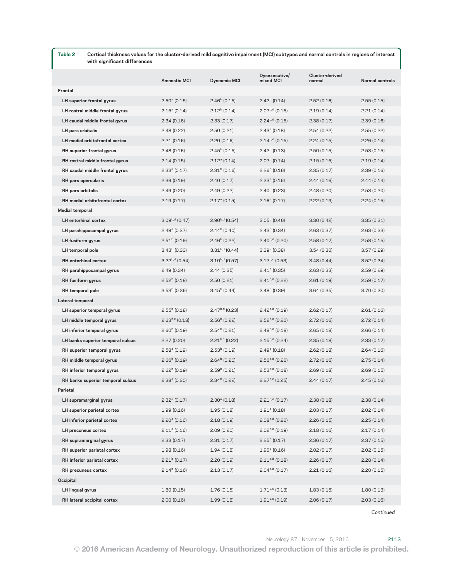Table 2 Cortical thickness values for the cluster-derived mild cognitive impairment (MCI) subtypes and normal controls in regions of interest with significant differences

|                                   | <b>Amnestic MCI</b>   | <b>Dysnomic MCI</b>   | Dysexecutive/<br>mixed MCI | Cluster-derived<br>normal | Normal controls |
|-----------------------------------|-----------------------|-----------------------|----------------------------|---------------------------|-----------------|
| Frontal                           |                       |                       |                            |                           |                 |
| LH superior frontal gyrus         | $2.50a$ (0.15)        | $2.46b$ (0.15)        | $2.42b$ (0.14)             | 2.52(0.16)                | 2.55(0.15)      |
| LH rostral middle frontal gyrus   | $2.15^{\circ}$ (0.14) | $2.12b$ (0.14)        | $2.07b,d$ (0.15)           | 2.19(0.14)                | 2.21(0.14)      |
| LH caudal middle frontal gyrus    | 2.34(0.16)            | 2.33(0.17)            | $2.24^{b,d}$ (0.15)        | 2.38(0.17)                | 2.39(0.16)      |
| LH pars orbitalis                 | 2.48(0.22)            | 2.50(0.21)            | $2.43^{\circ}$ (0.18)      | 2.54(0.22)                | 2.55(0.22)      |
| LH medial orbitofrontal cortex    | 2.21(0.16)            | 2.20(0.16)            | $2.14^{b,d}$ (0.15)        | 2.24(0.15)                | 2.26(0.14)      |
| RH superior frontal gyrus         | 2.48(0.16)            | $2.45b$ (0.15)        | $2.42b$ (0.13)             | 2.50(0.15)                | 2.53(0.15)      |
| RH rostral middle frontal gyrus   | 2.14(0.15)            | $2.12a$ (0.14)        | $2.07b$ (0.14)             | 2.15(0.15)                | 2.19(0.14)      |
| RH caudal middle frontal gyrus    | $2.33a$ (0.17)        | $2.31b$ (0.16)        | $2.26b$ (0.16)             | 2.35(0.17)                | 2.39(0.16)      |
| RH pars opercularis               | 2.39(0.19)            | 2.40(0.17)            | $2.33a$ (0.16)             | 2.44(0.16)                | 2.44(0.14)      |
| RH pars orbitalis                 | 2.49(0.20)            | 2.49(0.22)            | $2.40b$ (0.23)             | 2.48(0.20)                | 2.53(0.20)      |
| RH medial orbitofrontal cortex    | 2.19(0.17)            | $2.17a$ (0.15)        | $2.16^a (0.17)$            | 2.22(0.19)                | 2.24(0.15)      |
| Medial temporal                   |                       |                       |                            |                           |                 |
| LH entorhinal cortex              | $3.09^{b,d}$ (0.47)   | $2.90^{b,d}$ (0.54)   | $3.05b$ (0.46)             | 3.30(0.42)                | 3.35(0.31)      |
| LH parahippocampal gyrus          | $2.49a$ (0.37)        | $2.44b$ (0.40)        | $2.43b$ (0.34)             | 2.63(0.37)                | 2.63(0.33)      |
| LH fusiform gyrus                 | $2.51b$ (0.19)        | $2.46b$ (0.22)        | $2.40^{b,d}$ (0.20)        | 2.58(0.17)                | 2.58(0.15)      |
| LH temporal pole                  | $3.43b$ (0.33)        | $3.31^{b,d}$ (0.44)   | $3.39a$ (0.38)             | 3.54(0.30)                | 3.57(0.29)      |
| RH entorhinal cortex              | $3.22^{b,d}$ (0.54)   | $3.10^{b,d}$ (0.57)   | $3.17^{b,c}$ (0.53)        | 3.48(0.44)                | 3.52(0.34)      |
| RH parahippocampal gyrus          | 2.49(0.34)            | 2.44(0.35)            | $2.41b$ (0.35)             | 2.63(0.33)                | 2.59(0.29)      |
| <b>RH</b> fusiform gyrus          | $2.52b$ (0.18)        | 2.50(0.21)            | $2.41^{b,d}$ (0.22)        | 2.61(0.19)                | 2.59(0.17)      |
| RH temporal pole                  | $3.53b$ (0.36)        | $3.45^{\rm b}$ (0.44) | $3.48b$ (0.39)             | 3.64 (0.35)               | 3.70(0.30)      |
| Lateral temporal                  |                       |                       |                            |                           |                 |
| LH superior temporal gyrus        | $2.55b$ (0.18)        | $2.47b,d$ (0.23)      | $2.42^{b,d}$ (0.19)        | 2.62(0.17)                | 2.61(0.16)      |
| LH middle temporal gyrus          | $2.63^{b,c}$ (0.18)   | $2.56b$ (0.22)        | $2.52^{b,d}$ (0.20)        | 2.72(0.16)                | 2.72(0.14)      |
| LH inferior temporal gyrus        | $2.60b$ (0.19)        | $2.54b$ (0.21)        | $2.48^{b,d}$ (0.18)        | 2.65(0.18)                | 2.66(0.14)      |
| LH banks superior temporal sulcus | 2.27(0.20)            | $2.21^{b,c}$ (0.22)   | $2.15^{b,d}$ (0.24)        | 2.35 (0.18)               | 2.33(0.17)      |
| RH superior temporal gyrus        | $2.58a$ (0.19)        | $2.53b$ (0.19)        | $2.49b$ (0.18)             | 2.62(0.18)                | 2.64(0.16)      |
| RH middle temporal gyrus          | $2.66b$ (0.19)        | $2.64b$ (0.20)        | $2.56^{b,d}$ (0.20)        | 2.72(0.16)                | 2.75(0.14)      |
| RH inferior temporal gyrus        | $2.62b$ (0.19)        | $2.59b$ (0.21)        | $2.53b,d$ (0.18)           | 2.69(0.18)                | 2.69(0.15)      |
| RH banks superior temporal sulcus | $2.38a$ (0.20)        | $2.34b$ (0.22)        | $2.27^{b,c}$ (0.25)        | 2.44(0.17)                | 2.45(0.16)      |
| Parietal                          |                       |                       |                            |                           |                 |
| LH supramarginal gyrus            | $2.32a$ (0.17)        | $2.30^a$ (0.18)       | $2.21b,d$ (0.17)           | 2.38(0.18)                | 2.38(0.14)      |
| LH superior parietal cortex       | 1.99(0.16)            | 1.95(0.18)            | $1.91b$ (0.18)             | 2.03 (0.17)               | 2.02(0.14)      |
| LH inferior parietal cortex       | $2.20^{\circ}$ (0.16) | 2.18(0.19)            | $2.08b,d$ (0.20)           | 2.26(0.15)                | 2.25(0.14)      |
| LH precuneus cortex               | $2.11^{\circ}$ (0.16) | 2.09 (0.20)           | $2.02b,d$ (0.19)           | 2.18(0.16)                | 2.17(0.14)      |
| RH supramarginal gyrus            | 2.33(0.17)            | 2.31(0.17)            | $2.25b$ (0.17)             | 2.36(0.17)                | 2.37(0.15)      |
| RH superior parietal cortex       | 1.98(0.16)            | 1.94(0.18)            | $1.90b$ (0.16)             | 2.02(0.17)                | 2.02(0.15)      |
| RH inferior parietal cortex       | $2.21b$ (0.17)        | 2.20(0.19)            | $2.11^{b,d}$ (0.18)        | 2.26(0.17)                | 2.28(0.14)      |
| RH precuneus cortex               | $2.14b$ (0.16)        | 2.13(0.17)            | $2.04b,d$ (0.17)           | 2.21 (0.16)               | 2.20(0.15)      |
| Occipital                         |                       |                       |                            |                           |                 |
| LH lingual gyrus                  | 1.80(0.15)            | 1.76(0.15)            | $1.71^{b,c}$ (0.13)        | 1.83(0.15)                | 1.80(0.13)      |
| RH lateral occipital cortex       | 2.00(0.16)            | 1.99(0.18)            | $1.91^{b,c}$ (0.19)        | 2.06(0.17)                | 2.03(0.16)      |
|                                   |                       |                       |                            |                           |                 |

Continued

© 2016 American Academy of Neurology. Unauthorized reproduction of this article is prohibited.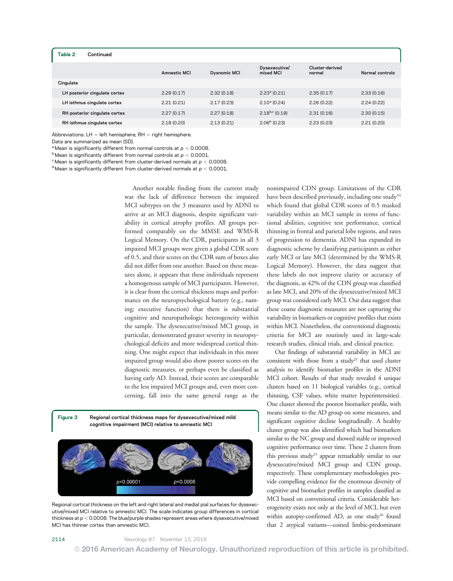#### Table 2 Continued

|                               | <b>Amnestic MCI</b> | <b>Dysnomic MCI</b> | Dysexecutive/<br>mixed MCI | Cluster-derived<br>normal | Normal controls |
|-------------------------------|---------------------|---------------------|----------------------------|---------------------------|-----------------|
| Cingulate                     |                     |                     |                            |                           |                 |
| LH posterior cingulate cortex | 2.29(0.17)          | 2.32(0.18)          | $2.23a$ (0.21)             | 2.35(0.17)                | 2.33(0.16)      |
| LH isthmus cingulate cortex   | 2.21(0.21)          | 2.17(0.23)          | $2.10^{\circ}$ (0.24)      | 2.26(0.22)                | 2.24(0.22)      |
| RH posterior cingulate cortex | 2.27(0.17)          | 2.27(0.18)          | $2.18^{b,c}$ (0.19)        | 2.31(0.16)                | 2.30(0.15)      |
| RH isthmus cingulate cortex   | 2.18(0.20)          | 2.13(0.21)          | $2.06b$ (0.23)             | 2.23(0.23)                | 2.21(0.20)      |
|                               |                     |                     |                            |                           |                 |

Abbreviations:  $LH = left$  hemisphere: RH = right hemisphere.

Data are summarized as mean (SD).

<sup>a</sup> Mean is significantly different from normal controls at  $p < 0.0008$ .

 $^{\rm b}$  Mean is significantly different from normal controls at  $p < 0.0001$ .

 $\degree$ Mean is significantly different from cluster-derived normals at  $p < 0.0008$ .

<sup>d</sup> Mean is significantly different from cluster-derived normals at  $p < 0.0001$ .

Another notable finding from the current study was the lack of difference between the impaired MCI subtypes on the 3 measures used by ADNI to arrive at an MCI diagnosis, despite significant variability in cortical atrophy profiles. All groups performed comparably on the MMSE and WMS-R Logical Memory. On the CDR, participants in all 3 impaired MCI groups were given a global CDR score of 0.5, and their scores on the CDR sum of boxes also did not differ from one another. Based on these measures alone, it appears that these individuals represent a homogenous sample of MCI participants. However, it is clear from the cortical thickness maps and performance on the neuropsychological battery (e.g., naming; executive function) that there is substantial cognitive and neuropathologic heterogeneity within the sample. The dysexecutive/mixed MCI group, in particular, demonstrated greater severity in neuropsychological deficits and more widespread cortical thinning. One might expect that individuals in this more impaired group would also show poorer scores on the diagnostic measures, or perhaps even be classified as having early AD. Instead, their scores are comparable to the less impaired MCI groups and, even more concerning, fall into the same general range as the





Regional cortical thickness on the left and right lateral and medial pial surfaces for dysexecutive/mixed MCI relative to amnestic MCI. The scale indicates group differences in cortical thickness at  $p < 0.0008$ . The blue/purple shades represent areas where dysexecutive/mixed MCI has thinner cortex than amnestic MCI.

nonimpaired CDN group. Limitations of the CDR have been described previously, including one study<sup>24</sup> which found that global CDR scores of 0.5 masked variability within an MCI sample in terms of functional abilities, cognitive test performance, cortical thinning in frontal and parietal lobe regions, and rates of progression to dementia. ADNI has expanded its diagnostic scheme by classifying participants as either early MCI or late MCI (determined by the WMS-R Logical Memory). However, the data suggest that these labels do not improve clarity or accuracy of the diagnosis, as 42% of the CDN group was classified as late MCI, and 20% of the dysexecutive/mixed MCI group was considered early MCI. Our data suggest that these coarse diagnostic measures are not capturing the variability in biomarkers or cognitive profiles that exists within MCI. Nonetheless, the conventional diagnostic criteria for MCI are routinely used in large-scale research studies, clinical trials, and clinical practice.

Our findings of substantial variability in MCI are consistent with those from a study<sup>25</sup> that used cluster analysis to identify biomarker profiles in the ADNI MCI cohort. Results of that study revealed 4 unique clusters based on 11 biological variables (e.g., cortical thinning, CSF values, white matter hyperintensities). One cluster showed the poorest biomarker profile, with means similar to the AD group on some measures, and significant cognitive decline longitudinally. A healthy cluster group was also identified which had biomarkers similar to the NC group and showed stable or improved cognitive performance over time. These 2 clusters from this previous study<sup>25</sup> appear remarkably similar to our dysexecutive/mixed MCI group and CDN group, respectively. These complementary methodologies provide compelling evidence for the enormous diversity of cognitive and biomarker profiles in samples classified as MCI based on conventional criteria. Considerable heterogeneity exists not only at the level of MCI, but even within autopsy-confirmed AD, as one study<sup>26</sup> found that 2 atypical variants—coined limbic-predominant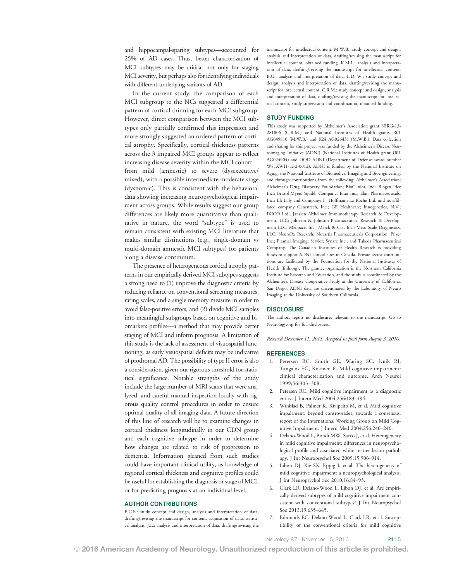and hippocampal-sparing subtypes—accounted for 25% of AD cases. Thus, better characterization of MCI subtypes may be critical not only for staging MCI severity, but perhaps also for identifying individuals with different underlying variants of AD.

In the current study, the comparison of each MCI subgroup to the NCs suggested a differential pattern of cortical thinning for each MCI subgroup. However, direct comparison between the MCI subtypes only partially confirmed this impression and more strongly suggested an ordered pattern of cortical atrophy. Specifically, cortical thickness patterns across the 3 impaired MCI groups appear to reflect increasing disease severity within the MCI cohort from mild (amnestic) to severe (dysexecutive/ mixed), with a possible intermediate moderate stage (dysnomic). This is consistent with the behavioral data showing increasing neuropsychological impairment across groups. While results suggest our group differences are likely more quantitative than qualitative in nature, the word "subtype" is used to remain consistent with existing MCI literature that makes similar distinctions (e.g., single-domain vs multi-domain amnestic MCI subtypes) for patients along a disease continuum.

The presence of heterogeneous cortical atrophy patterns in our empirically derived MCI subtypes suggests a strong need to (1) improve the diagnostic criteria by reducing reliance on conventional screening measures, rating scales, and a single memory measure in order to avoid false-positive errors; and (2) divide MCI samples into meaningful subgroups based on cognitive and biomarkers profiles—a method that may provide better staging of MCI and inform prognosis. A limitation of this study is the lack of assessment of visuospatial functioning, as early visuospatial deficits may be indicative of prodromal AD. The possibility of type II error is also a consideration, given our rigorous threshold for statistical significance. Notable strengths of the study include the large number of MRI scans that were analyzed, and careful manual inspection locally with rigorous quality control procedures in order to ensure optimal quality of all imaging data. A future direction of this line of research will be to examine changes in cortical thickness longitudinally in our CDN group and each cognitive subtype in order to determine how changes are related to risk of progression to dementia. Information gleaned from such studies could have important clinical utility, as knowledge of regional cortical thickness and cognitive profiles could be useful for establishing the diagnosis or stage of MCI, or for predicting prognosis at an individual level.

# AUTHOR CONTRIBUTIONS

E.C.E.: study concept and design, analysis and interpretation of data, drafting/revising the manuscript for content, acquisition of data, statistical analysis. J.E.: analysis and interpretation of data, drafting/revising the manuscript for intellectual content. M.W.B.: study concept and design, analysis and interpretation of data, drafting/revising the manuscript for intellectual content, obtained funding. K.M.L.: analysis and interpretation of data, drafting/revising the manuscript for intellectual content. B.G.: analysis and interpretation of data. L.D.-W.: study concept and design, analysis and interpretation of data, drafting/revising the manuscript for intellectual content. C.R.M.: study concept and design, analysis and interpretation of data, drafting/revising the manuscript for intellectual content, study supervision and coordination, obtained funding.

### STUDY FUNDING

This study was supported by Alzheimer's Association grant NIRG-13- 281806 (C.R.M.) and National Institutes of Health grants R01 AG049810 (M.W.B.) and K24 AG026431 (M.W.B.). Data collection and sharing for this project was funded by the Alzheimer's Disease Neuroimaging Initiative (ADNI) (National Institutes of Health grant U01 AG024904) and DOD ADNI (Department of Defense award number W81XWH-12-2-0012). ADNI is funded by the National Institute on Aging, the National Institute of Biomedical Imaging and Bioengineering, and through contributions from the following: Alzheimer's Association; Alzheimer's Drug Discovery Foundation; BioClinica, Inc.; Biogen Idec Inc.; Bristol-Myers Squibb Company; Eisai Inc.; Elan Pharmaceuticals, Inc.; Eli Lilly and Company; F. Hoffmann-La Roche Ltd. and its affiliated company Genentech, Inc.; GE Healthcare; Innogenetics, N.V.; IXICO Ltd.; Janssen Alzheimer Immunotherapy Research & Development, LLC; Johnson & Johnson Pharmaceutical Research & Development LLC; Medpace, Inc.; Merck & Co., Inc.; Meso Scale Diagnostics, LLC; NeuroRx Research; Novartis Pharmaceuticals Corporation; Pfizer Inc.; Piramal Imaging; Servier; Synarc Inc.; and Takeda Pharmaceutical Company. The Canadian Institutes of Health Research is providing funds to support ADNI clinical sites in Canada. Private sector contributions are facilitated by the Foundation for the National Institutes of Health [\(fnih.org](http://www.fnih.org)). The grantee organization is the Northern California Institute for Research and Education, and the study is coordinated by the Alzheimer's Disease Cooperative Study at the University of California, San Diego. ADNI data are disseminated by the Laboratory of Neuro Imaging at the University of Southern California.

#### **DISCLOSURE**

The authors report no disclosures relevant to the manuscript. Go to [Neurology.org](http://neurology.org/lookup/doi/10.1212/WNL.0000000000003326) for full disclosures.

Received December 11, 2015. Accepted in final form August 3, 2016.

#### REFERENCES

- 1. Petersen RC, Smith GE, Waring SC, Ivnik RJ, Tangalos EG, Kokmen E. Mild cognitive impairment: clinical characterization and outcome. Arch Neurol 1999;56:303–308.
- 2. Petersen RC. Mild cognitive impairment as a diagnostic entity. J Intern Med 2004;256:183–194.
- 3. Winblad B, Palmer K, Kivipelto M, et al. Mild cognitive impairment: beyond controversies, towards a consensus: report of the International Working Group on Mild Cognitive Impairment. J Intern Med 2004;256:240–246.
- 4. Delano-Wood L, Bondi MW, Sacco J, et al. Heterogeneity in mild cognitive impairment: differences in neuropsychological profile and associated white matter lesion pathology. J Int Neuropsychol Soc 2009;15:906–914.
- 5. Libon DJ, Xie SX, Eppig J, et al. The heterogeneity of mild cognitive impairment: a neuropsychological analysis. J Int Neuropsychol Soc 2010;16:84–93.
- 6. Clark LR, Delano-Wood L, Libon DJ, et al. Are empirically derived subtypes of mild cognitive impairment consistent with conventional subtypes? J Int Neuropsychol Soc 2013;19:635–645.
- 7. Edmonds EC, Delano-Wood L, Clark LR, et al. Susceptibility of the conventional criteria for mild cognitive

Neurology 87 November 15, 2016 2115